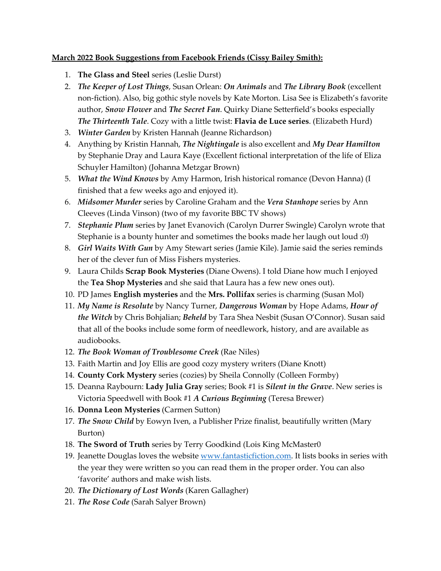## **March 2022 Book Suggestions from Facebook Friends (Cissy Bailey Smith):**

- 1. **The Glass and Steel** series (Leslie Durst)
- 2. *The Keeper of Lost Things*, Susan Orlean: *On Animals* and *The Library Book* (excellent non-fiction). Also, big gothic style novels by Kate Morton. Lisa See is Elizabeth's favorite author, *Snow Flower* and *The Secret Fan*. Quirky Diane Setterfield's books especially *The Thirteenth Tale*. Cozy with a little twist: **Flavia de Luce series**. (Elizabeth Hurd)
- 3. *Winter Garden* by Kristen Hannah (Jeanne Richardson)
- 4. Anything by Kristin Hannah, *The Nightingale* is also excellent and *My Dear Hamilton* by Stephanie Dray and Laura Kaye (Excellent fictional interpretation of the life of Eliza Schuyler Hamilton) (Johanna Metzgar Brown)
- 5. *What the Wind Knows* by Amy Harmon, Irish historical romance (Devon Hanna) (I finished that a few weeks ago and enjoyed it).
- 6. *Midsomer Murder* series by Caroline Graham and the *Vera Stanhope* series by Ann Cleeves (Linda Vinson) (two of my favorite BBC TV shows)
- 7. *Stephanie Plum* series by Janet Evanovich (Carolyn Durrer Swingle) Carolyn wrote that Stephanie is a bounty hunter and sometimes the books made her laugh out loud :0)
- 8. *Girl Waits With Gun* by Amy Stewart series (Jamie Kile). Jamie said the series reminds her of the clever fun of Miss Fishers mysteries.
- 9. Laura Childs **Scrap Book Mysteries** (Diane Owens). I told Diane how much I enjoyed the **Tea Shop Mysteries** and she said that Laura has a few new ones out).
- 10. PD James **English mysteries** and the **Mrs. Pollifax** series is charming (Susan Mol)
- 11. *My Name is Resolute* by Nancy Turner, *Dangerous Woman* by Hope Adams, *Hour of the Witch* by Chris Bohjalian; *Beheld* by Tara Shea Nesbit (Susan O'Connor). Susan said that all of the books include some form of needlework, history, and are available as audiobooks.
- 12. *The Book Woman of Troublesome Creek* (Rae Niles)
- 13. Faith Martin and Joy Ellis are good cozy mystery writers (Diane Knott)
- 14. **County Cork Mystery** series (cozies) by Sheila Connolly (Colleen Formby)
- 15. Deanna Raybourn: **Lady Julia Gray** series; Book #1 is *Silent in the Grave*. New series is Victoria Speedwell with Book #1 *A Curious Beginning* (Teresa Brewer)
- 16. **Donna Leon Mysteries** (Carmen Sutton)
- 17. *The Snow Child* by Eowyn Iven, a Publisher Prize finalist, beautifully written (Mary Burton)
- 18. **The Sword of Truth** series by Terry Goodkind (Lois King McMaster0
- 19. Jeanette Douglas loves the website [www.fantasticfiction.com.](http://www.fantasticfiction.com/) It lists books in series with the year they were written so you can read them in the proper order. You can also 'favorite' authors and make wish lists.
- 20. *The Dictionary of Lost Words* (Karen Gallagher)
- 21. *The Rose Code* (Sarah Salyer Brown)